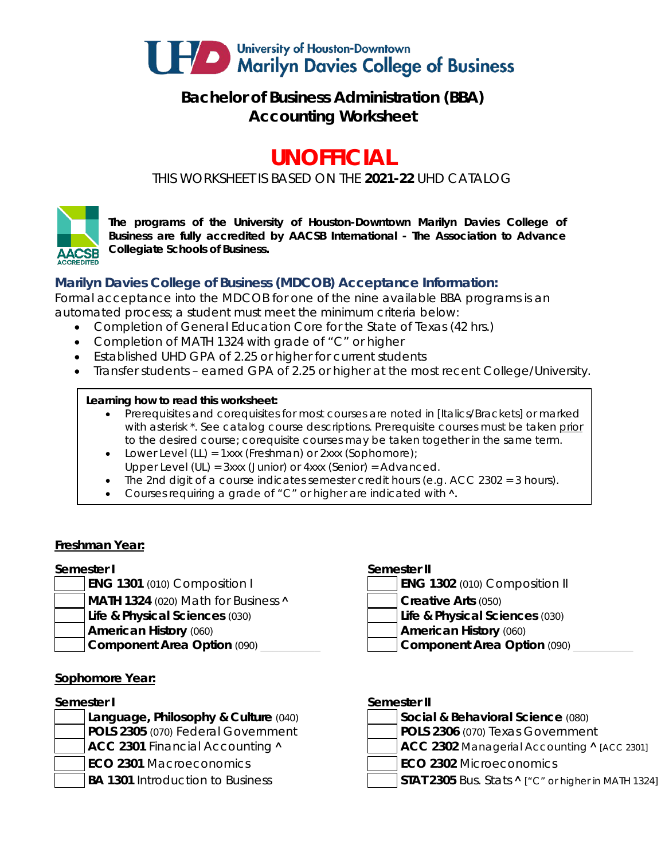

## **Bachelor of Business Administration (BBA) Accounting Worksheet**

# **UNOFFICIAL**

*THIS WORKSHEET IS BASED ON THE 2021-22 UHD CATALOG*



*The programs of the University of Houston-Downtown Marilyn Davies College of Business are fully accredited by AACSB International - The Association to Advance Collegiate Schools of Business.*

### **Marilyn Davies College of Business (MDCOB) Acceptance Information:**

Formal acceptance into the MDCOB for one of the nine available BBA programs is an automated process; a student must meet the minimum criteria below:

- Completion of General Education Core for the State of Texas (42 hrs.)
- Completion of MATH 1324 with grade of "C" or higher
- Established UHD GPA of 2.25 or higher for current students
- Transfer students earned GPA of 2.25 or higher at the most recent College/University.

### **Learning how to read this worksheet:**

- Prerequisites and corequisites for most courses are noted in *[Italics/Brackets]* or marked with asterisk \*. See catalog course descriptions. Prerequisite courses must be taken prior to the desired course; corequisite courses may be taken together in the same term.
- Lower Level (LL) = 1xxx (Freshman) or 2xxx (Sophomore);
- Upper Level (UL) = 3xxx (Junior) or 4xxx (Senior) = Advanced.
- The 2nd digit of a course indicates semester credit hours (e.g. ACC 2302 = 3 hours).
- Courses requiring a grade of "C" or higher are indicated with  $\lambda$ .

### **Freshman Year:**

- 
- **MATH 1324** (020) Math for Business **A Creative Arts** (050)
- **Life & Physical Sciences** (030) **Life & Physical Sciences** (030)
- -

### **Sophomore Year:**

**ECO 2301** Macroeconomics **ECO 2302** Microeconomics

### **Semester I Semester II**

- **ENG 1301** (010) Composition I **ENG 1302** (010) Composition II
	- -
- **American History** (060) **American History** (060)
- **Component Area Option** (090) **and Component Area Option** (090)

### **Semester I Semester II**

- **Language, Philosophy & Culture** (040) **Social & Behavioral Science** (080) **POLS 2305** (070) Federal Government **POLS 2306** (070) Texas Government **ACC 2301** Financial Accounting **^**  $\vert$  **ACC 2302** Managerial Accounting **^** [ACC 2301]
- **BA 1301** Introduction to Business **STAT 2305** Bus. Stats **^** ["C" or higher in MATH 1324]